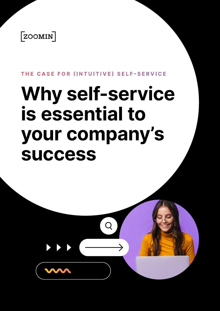

#### **THE CASE FOR (INTUITIVE) SELF-SERVICE**

# **Why self-service to essential is your company's success**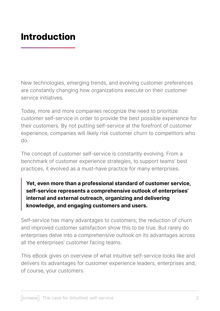# **Introduction**

New technologies, emerging trends, and evolving customer preferences are constantly changing how organizations execute on their customer service initiatives

Today, more and more companies recognize the need to prioritize customer self-service in order to provide the best possible experience for their customers. By not putting self-service at the forefront of customer experience, companies will likely risk customer churn to competitors who .do

The concept of customer self-service is constantly evolving. From a benchmark of customer experience strategies, to support teams' best practices, it evolved as a must-have practice for many enterprises.

Yet, even more than a professional standard of customer service, self-service represents a comprehensive outlook of enterprises' internal and external outreach, organizing and delivering knowledge, and engaging customers and users.

Self-service has many advantages to customers; the reduction of churn and improved customer satisfaction show this to be true. But rarely do enterprises delve into a comprehensive outlook on its advantages across all the enterprises' customer facing teams.

This eBook gives on overview of what intuitive self-service looks like and delivers its advantages for customer experience leaders, enterprises and, of course, your customers.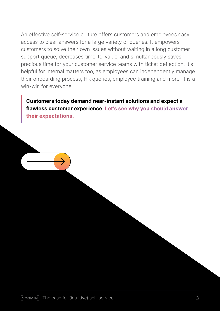An effective self-service culture offers customers and employees easy access to clear answers for a large variety of queries. It empowers customers to solve their own issues without waiting in a long customer support queue, decreases time-to-value, and simultaneously saves precious time for your customer service teams with ticket deflection. It's helpful for internal matters too, as employees can independently manage their onboarding process, HR queries, employee training and more. It is a win-win for everyone.

**Customers today demand near-instant solutions and expect a flawless customer experience. Let's see why you should answer** their expectations.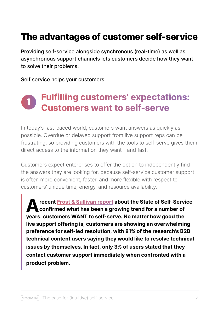# **The advantages of customer self-service**

Providing self-service alongside synchronous (real-time) as well as asynchronous support channels lets customers decide how they want to solve their problems.

Self service helps your customers:

## **Fulfilling customers' expectations: 1Customers want to self-serve**

In today's fast-paced world, customers want answers as quickly as possible. Overdue or delayed support from live support reps can be frustrating, so providing customers with the tools to self-serve gives them direct access to the information they want - and fast.

Customers expect enterprises to offer the option to independently find the answers they are looking for, because self-service customer support is often more convenient, faster, and more flexible with respect to customers' unique time, energy, and resource availability.

 **Frost & Sullivan report about the State of Self-Service confirmed what has been a growing trend for a number of years: customers WANT to self-serve. No matter how good the live support offering is, customers are showing an overwhelming preference for self-led resolution, with 81% of the research's B2B technical content users saying they would like to resolve technical issues by themselves. In fact, only 3% of users stated that they contact customer support immediately when confronted with a** product problem.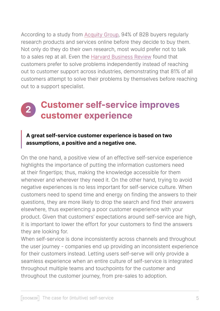According to a study from Acquity Group, 94% of B2B buyers regularly research products and services online before they decide to buy them. Not only do they do their own research, most would prefer not to talk to a sales rep at all. Even the Harvard Business Review found that customers prefer to solve problems independently instead of reaching out to customer support across industries, demonstrating that 81% of all customers attempt to solve their problems by themselves before reaching out to a support specialist.

# **Customer self-service improves 2experience customer**

### A great self-service customer experience is based on two assumptions, a positive and a negative one.

On the one hand, a positive view of an effective self-service experience highlights the importance of putting the information customers need at their fingertips; thus, making the knowledge accessible for them whenever and wherever they need it. On the other hand, trying to avoid negative experiences is no less important for self-service culture. When customers need to spend time and energy on finding the answers to their questions, they are more likely to drop the search and find their answers elsewhere, thus experiencing a poor customer experience with your product. Given that customers' expectations around self-service are high, it is important to lower the effort for your customers to find the answers they are looking for.

When self-service is done inconsistently across channels and throughout the user journey - companies end up providing an inconsistent experience for their customers instead. Letting users self-serve will only provide a seamless experience when an entire culture of self-service is integrated throughout multiple teams and touchpoints for the customer and throughout the customer journey, from pre-sales to adoption.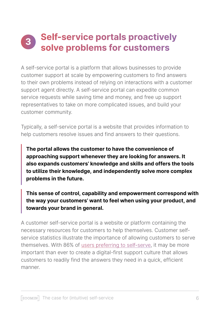# **Self-service portals proactively 3**solve problems for customers

A self-service portal is a platform that allows businesses to provide customer support at scale by empowering customers to find answers to their own problems instead of relying on interactions with a customer support agent directly. A self-service portal can expedite common service requests while saving time and money, and free up support representatives to take on more complicated issues, and build your customer community.

Typically, a self-service portal is a website that provides information to help customers resolve issues and find answers to their questions.

The portal allows the customer to have the convenience of approaching support whenever they are looking for answers. It also expands customers' knowledge and skills and offers the tools to utilize their knowledge, and independently solve more complex problems in the future.

This sense of control, capability and empowerment correspond with the way your customers' want to feel when using your product, and towards your brand in general.

A customer self-service portal is a website or platform containing the service statistics illustrate the importance of allowing customers to serve necessary resources for customers to help themselves. Customer selfthemselves. With 86% of users preferring to self-serve, it may be more important than ever to create a digital-first support culture that allows customers to readily find the answers they need in a quick, efficient .manner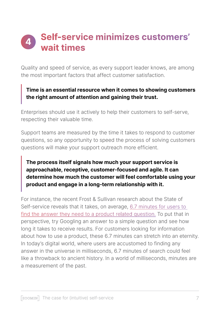# **Self-service minimizes customers' 4times wait**

Quality and speed of service, as every support leader knows, are among the most important factors that affect customer satisfaction.

## **Time is an essential resource when it comes to showing customers** the right amount of attention and gaining their trust.

Enterprises should use it actively to help their customers to self-serve, respecting their valuable time.

Support teams are measured by the time it takes to respond to customer questions, so any opportunity to speed the process of solving customers questions will make your support outreach more efficient.

## The process itself signals how much your support service is approachable, receptive, customer-focused and agile. It can  **determine how much the customer will feel comfortable using your** product and engage in a long-term relationship with it.

For instance, the recent Frost & Sullivan research about the State of Self-service reveals that it takes, on average, 6.7 minutes for users to find the answer they need to a product related question. To put that in perspective, try Googling an answer to a simple question and see how long it takes to receive results. For customers looking for information about how to use a product, these 6.7 minutes can stretch into an eternity. In today's digital world, where users are accustomed to finding any answer in the universe in milliseconds, 6.7 minutes of search could feel like a throwback to ancient history. In a world of milliseconds, minutes are a measurement of the past.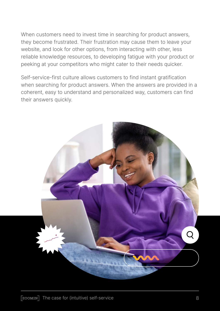When customers need to invest time in searching for product answers, they become frustrated. Their frustration may cause them to leave your website, and look for other options, from interacting with other, less reliable knowledge resources, to developing fatigue with your product or peeking at your competitors who might cater to their needs quicker.

Self-service-first culture allows customers to find instant gratification when searching for product answers. When the answers are provided in a coherent, easy to understand and personalized way, customers can find their answers quickly.

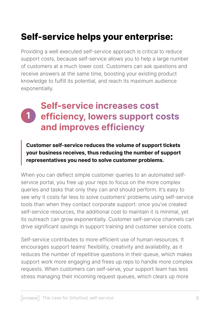# **Self-service helps your enterprise:**

Providing a well executed self-service approach is critical to reduce support costs, because self-service allows you to help a large number of customers at a much lower cost. Customers can ask questions and receive answers at the same time, boosting your existing product knowledge to fulfill its potential, and reach its maximum audience exponentially.

# **Self-service increases cost efficiency, lowers support costs** and improves efficiency **1**

**Customer self-service reduces the volume of support tickets your business receives, thus reducing the number of support** representatives you need to solve customer problems.

service portal, you free up your reps to focus on the more complex When you can deflect simple customer queries to an automated selfqueries and tasks that only they can and should perform. It's easy to see why it costs far less to solve customers' problems using self-service tools than when they contact corporate support: once you've created self-service resources, the additional cost to maintain it is minimal, yet its outreach can grow exponentially. Customer self-service channels can drive significant savings in support training and customer service costs.

Self-service contributes to more efficient use of human resources. It encourages support teams' flexibility, creativity and availability, as it reduces the number of repetitive questions in their queue, which makes support work more engaging and frees up reps to handle more complex requests. When customers can self-serve, your support team has less stress managing their incoming request queues, which clears up more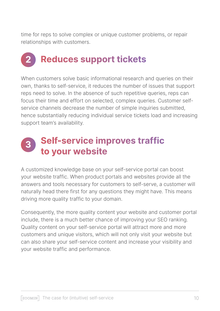time for reps to solve complex or unique customer problems, or repair relationships with customers.

# **Reduces support tickets 2**

When customers solve basic informational research and queries on their own, thanks to self-service, it reduces the number of issues that support reps need to solve. In the absence of such repetitive queries, reps can service channels decrease the number of simple inquiries submitted. focus their time and effort on selected, complex queries. Customer selfhence substantially reducing individual service tickets load and increasing support team's availability.

# **Self-service improves traffic to your website 3**

A customized knowledge base on your self-service portal can boost your website traffic. When product portals and websites provide all the answers and tools necessary for customers to self-serve, a customer will naturally head there first for any questions they might have. This means driving more quality traffic to your domain.

Consequently, the more quality content your website and customer portal include, there is a much better chance of improving your SEO ranking. Quality content on your self-service portal will attract more and more customers and unique visitors, which will not only visit your website but can also share your self-service content and increase your visibility and your website traffic and performance.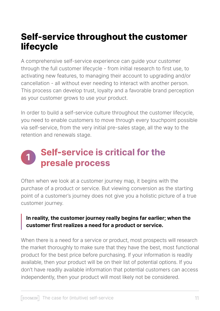# **Self-service throughout the customer lifecycle**

A comprehensive self-service experience can quide your customer through the full customer lifecycle - from initial research to first use, to activating new features, to managing their account to upgrading and/or cancellation - all without ever needing to interact with another person. This process can develop trust, loyalty and a favorable brand perception as your customer grows to use your product.

In order to build a self-service culture throughout the customer lifecycle, you need to enable customers to move through every touchpoint possible via self-service, from the very initial pre-sales stage, all the way to the retention and renewals stage.

# **Self-service is critical for the 1presale process**

Often when we look at a customer journey map, it begins with the purchase of a product or service. But viewing conversion as the starting point of a customer's journey does not give you a holistic picture of a true customer journey.

### In reality, the customer journey really begins far earlier; when the customer first realizes a need for a product or service.

When there is a need for a service or product, most prospects will research the market thoroughly to make sure that they have the best, most functional product for the best price before purchasing. If your information is readily available, then your product will be on their list of potential options. If you don't have readily available information that potential customers can access independently, then your product will most likely not be considered.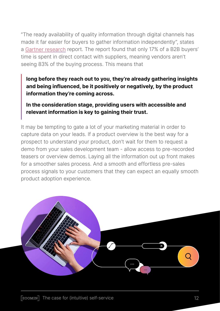"The ready availability of quality information through digital channels has made it far easier for buyers to gather information independently", states a Gartner research report. The report found that only 17% of a B2B buyers' time is spent in direct contact with suppliers, meaning vendors aren't seeing 83% of the buying process. This means that

## long before they reach out to you, they're already gathering insights and being influenced, be it positively or negatively, by the product information they're coming across.

## In the consideration stage, providing users with accessible and relevant information is key to gaining their trust.

It may be tempting to gate a lot of your marketing material in order to capture data on your leads. If a product overview is the best way for a prospect to understand your product, don't wait for them to request a demo from your sales development team - allow access to pre-recorded teasers or overview demos. Laying all the information out up front makes for a smoother sales process. And a smooth and effortless pre-sales process signals to your customers that they can expect an equally smooth product adoption experience.

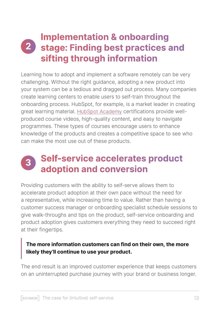# **Implementation & onboarding 2** stage: Finding best practices and **sifting through information**

Learning how to adopt and implement a software remotely can be very challenging. Without the right guidance, adopting a new product into your system can be a tedious and dragged out process. Many companies create learning centers to enable users to self-train throughout the onboarding process. HubSpot, for example, is a market leader in creating produced course videos, high-quality content, and easy to navigate great learning material. HubSpot Academy certifications provide wellprogrammes. These types of courses encourage users to enhance knowledge of the products and creates a competitive space to see who can make the most use out of these products.

# **Self-service accelerates product conversion and adoption 3**

Providing customers with the ability to self-serve allows them to accelerate product adoption at their own pace without the need for a representative, while increasing time to value. Rather than having a customer success manager or onboarding specialist schedule sessions to give walk-throughs and tips on the product, self-service onboarding and product adoption gives customers everything they need to succeed right at their fingertips.

# The more information customers can find on their own, the more likely they'll continue to use your product.

The end result is an improved customer experience that keeps customers on an uninterrupted purchase journey with your brand or business longer.